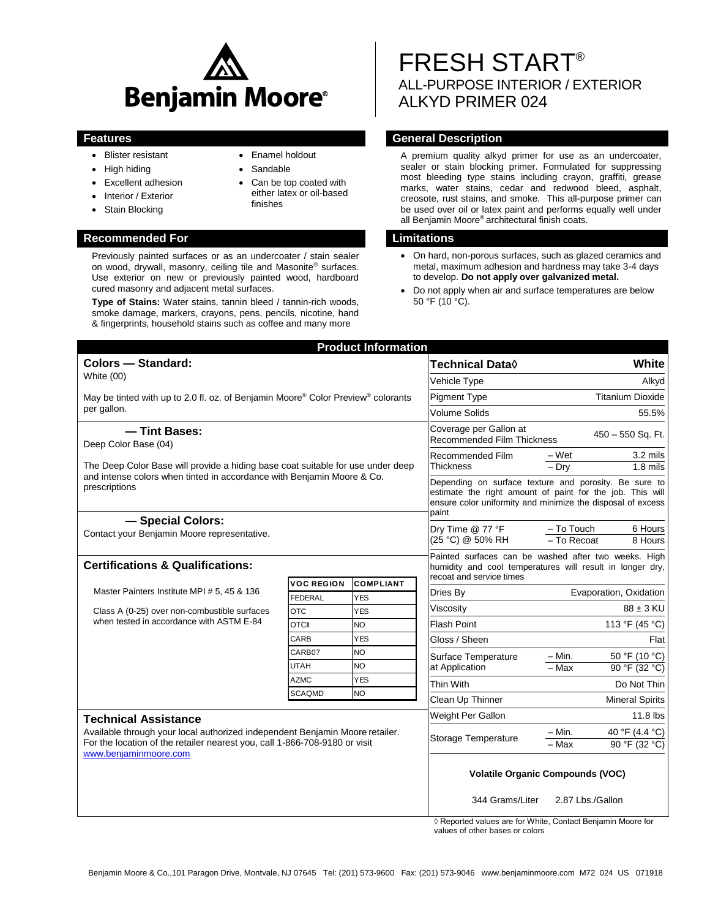

- Blister resistant
- High hiding
- Excellent adhesion
- Interior / Exterior
- Stain Blocking

### **Recommended For Limitations**

Previously painted surfaces or as an undercoater / stain sealer on wood, drywall, masonry, ceiling tile and Masonite® surfaces. Use exterior on new or previously painted wood, hardboard cured masonry and adjacent metal surfaces.

**Type of Stains:** Water stains, tannin bleed / tannin-rich woods, smoke damage, markers, crayons, pens, pencils, nicotine, hand & fingerprints, household stains such as coffee and many more

# Enamel holdout

- Sandable
- Can be top coated with either latex or oil-based finishes

# FRESH START® ALL-PURPOSE INTERIOR / EXTERIOR ALKYD PRIMER 024

# **Features General Description**

A premium quality alkyd primer for use as an undercoater, sealer or stain blocking primer. Formulated for suppressing most bleeding type stains including crayon, graffiti, grease marks, water stains, cedar and redwood bleed, asphalt, creosote, rust stains, and smoke. This all-purpose primer can be used over oil or latex paint and performs equally well under all Benjamin Moore® architectural finish coats.

- On hard, non-porous surfaces, such as glazed ceramics and metal, maximum adhesion and hardness may take 3-4 days to develop. **Do not apply over galvanized metal.**
- Do not apply when air and surface temperatures are below  $50 °F (10 °C)$ .

| <b>Product Information</b>                                                                                                                                                                                         |                              |                          |                                                                                                                                                                                            |                                                             |
|--------------------------------------------------------------------------------------------------------------------------------------------------------------------------------------------------------------------|------------------------------|--------------------------|--------------------------------------------------------------------------------------------------------------------------------------------------------------------------------------------|-------------------------------------------------------------|
| <b>Colors - Standard:</b><br>White (00)                                                                                                                                                                            |                              |                          | Technical Data <b>◊</b>                                                                                                                                                                    | White                                                       |
|                                                                                                                                                                                                                    |                              |                          | Vehicle Type                                                                                                                                                                               | Alkyd                                                       |
| May be tinted with up to 2.0 fl. oz. of Benjamin Moore® Color Preview® colorants<br>per gallon.                                                                                                                    |                              |                          | <b>Pigment Type</b>                                                                                                                                                                        | <b>Titanium Dioxide</b>                                     |
|                                                                                                                                                                                                                    |                              |                          | <b>Volume Solids</b>                                                                                                                                                                       | 55.5%                                                       |
| -Tint Bases:<br>Deep Color Base (04)<br>The Deep Color Base will provide a hiding base coat suitable for use under deep<br>and intense colors when tinted in accordance with Benjamin Moore & Co.<br>prescriptions |                              |                          | Coverage per Gallon at<br><b>Recommended Film Thickness</b>                                                                                                                                | 450 - 550 Sq. Ft.                                           |
|                                                                                                                                                                                                                    |                              |                          | Recommended Film<br>Thickness                                                                                                                                                              | 3.2 mils<br>– Wet<br>$-$ Drv<br>$1.8$ mils                  |
|                                                                                                                                                                                                                    |                              |                          | Depending on surface texture and porosity. Be sure to<br>estimate the right amount of paint for the job. This will<br>ensure color uniformity and minimize the disposal of excess<br>paint |                                                             |
| - Special Colors:<br>Contact your Benjamin Moore representative.                                                                                                                                                   |                              |                          | Dry Time @ 77 °F<br>(25 °C) @ 50% RH                                                                                                                                                       | $-$ To Touch<br>6 Hours<br>- To Recoat<br>8 Hours           |
| <b>Certifications &amp; Qualifications:</b>                                                                                                                                                                        |                              |                          | Painted surfaces can be washed after two weeks. High<br>humidity and cool temperatures will result in longer dry,<br>recoat and service times                                              |                                                             |
| Master Painters Institute MPI # 5, 45 & 136<br>Class A (0-25) over non-combustible surfaces<br>when tested in accordance with ASTM E-84                                                                            | <b>VOC REGION</b>            | <b>COMPLIANT</b>         | Dries Bv                                                                                                                                                                                   | Evaporation, Oxidation                                      |
|                                                                                                                                                                                                                    | <b>FEDERAL</b><br><b>OTC</b> | <b>YES</b><br><b>YES</b> | Viscosity                                                                                                                                                                                  | $88 \pm 3$ KU                                               |
|                                                                                                                                                                                                                    | OTCII                        | <b>NO</b>                | <b>Flash Point</b>                                                                                                                                                                         | 113 °F (45 °C)                                              |
|                                                                                                                                                                                                                    | CARB                         | <b>YES</b>               | Gloss / Sheen                                                                                                                                                                              | Flat                                                        |
|                                                                                                                                                                                                                    | CARB07                       | <b>NO</b>                | Surface Temperature<br>at Application                                                                                                                                                      | 50 °F (10 °C)<br>$- Min.$                                   |
|                                                                                                                                                                                                                    | UTAH                         | NO.                      |                                                                                                                                                                                            | $-Max$<br>90 °F (32 °C)                                     |
|                                                                                                                                                                                                                    | <b>AZMC</b>                  | <b>YES</b>               | Thin With                                                                                                                                                                                  | Do Not Thin                                                 |
|                                                                                                                                                                                                                    | <b>SCAQMD</b>                | NO                       | Clean Up Thinner                                                                                                                                                                           | <b>Mineral Spirits</b>                                      |
| <b>Technical Assistance</b><br>Available through your local authorized independent Benjamin Moore retailer.<br>For the location of the retailer nearest you, call 1-866-708-9180 or visit<br>www.benjaminmoore.com |                              |                          | Weight Per Gallon                                                                                                                                                                          | 11.8 lbs                                                    |
|                                                                                                                                                                                                                    |                              |                          | Storage Temperature                                                                                                                                                                        | 40 °F (4.4 °C)<br>– Min.<br>$-Max$<br>90 °F (32 °C)         |
|                                                                                                                                                                                                                    |                              |                          | <b>Volatile Organic Compounds (VOC)</b>                                                                                                                                                    |                                                             |
|                                                                                                                                                                                                                    |                              |                          | 344 Grams/Liter                                                                                                                                                                            | 2.87 Lbs./Gallon                                            |
|                                                                                                                                                                                                                    |                              |                          |                                                                                                                                                                                            | ◊ Reported values are for White, Contact Benjamin Moore for |

values of other bases or colors